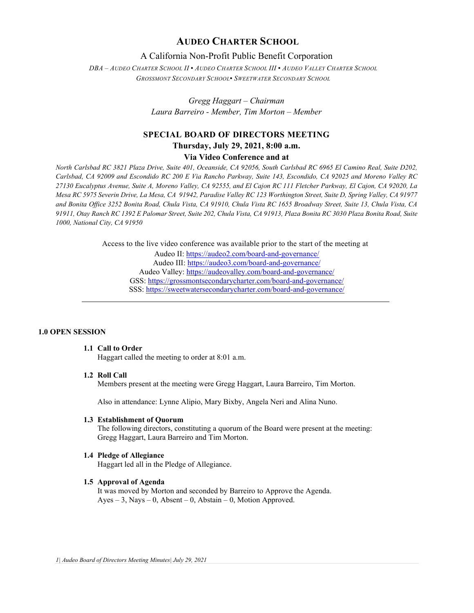# **AUDEO CHARTER SCHOOL**

# A California Non-Profit Public Benefit Corporation

*DBA – AUDEO CHARTER SCHOOL II ▪ AUDEO CHARTER SCHOOL III ▪ AUDEO VALLEY CHARTER SCHOOL GROSSMONT SECONDARY SCHOOL▪ SWEETWATER SECONDARY SCHOOL*

> *Gregg Haggart – Chairman Laura Barreiro - Member, Tim Morton – Member*

# **SPECIAL BOARD OF DIRECTORS MEETING Thursday, July 29, 2021, 8:00 a.m.**

# **Via Video Conference and at**

*North Carlsbad RC 3821 Plaza Drive, Suite 401, Oceanside, CA 92056, South Carlsbad RC 6965 El Camino Real, Suite D202, Carlsbad, CA 92009 and Escondido RC 200 E Via Rancho Parkway, Suite 143, Escondido, CA 92025 and Moreno Valley RC 27130 Eucalyptus Avenue, Suite A, Moreno Valley, CA 92555, and El Cajon RC 111 Fletcher Parkway, El Cajon, CA 92020, La Mesa RC 5975 Severin Drive, La Mesa, CA 91942, Paradise Valley RC 123 Worthington Street, Suite D, Spring Valley, CA 91977 and Bonita Office 3252 Bonita Road, Chula Vista, CA 91910, Chula Vista RC 1655 Broadway Street, Suite 13, Chula Vista, CA 91911, Otay Ranch RC 1392 E Palomar Street, Suite 202, Chula Vista, CA 91913, Plaza Bonita RC 3030 Plaza Bonita Road, Suite 1000, National City, CA 91950*

Access to the live video conference was available prior to the start of the meeting at

Audeo II[: https://audeo2.com/board-and-governance/](https://audeo2.com/board-and-governance/) Audeo III:<https://audeo3.com/board-and-governance/> Audeo Valley:<https://audeovalley.com/board-and-governance/> GSS:<https://grossmontsecondarycharter.com/board-and-governance/> SSS:<https://sweetwatersecondarycharter.com/board-and-governance/>

#### **1.0 OPEN SESSION**

# **1.1 Call to Order**

Haggart called the meeting to order at 8:01 a.m.

## **1.2 Roll Call**

Members present at the meeting were Gregg Haggart, Laura Barreiro, Tim Morton.

Also in attendance: Lynne Alipio, Mary Bixby, Angela Neri and Alina Nuno.

#### **1.3 Establishment of Quorum**

The following directors, constituting a quorum of the Board were present at the meeting: Gregg Haggart, Laura Barreiro and Tim Morton.

#### **1.4 Pledge of Allegiance**

Haggart led all in the Pledge of Allegiance.

#### **1.5 Approval of Agenda**

It was moved by Morton and seconded by Barreiro to Approve the Agenda. Ayes – 3, Nays – 0, Absent – 0, Abstain – 0, Motion Approved.